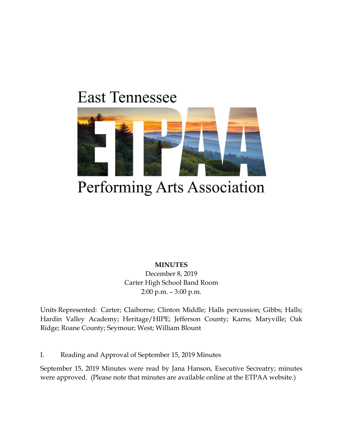# **East Tennessee**



# Performing Arts Association

**MINUTES**

December 8, 2019 Carter High School Band Room 2:00 p.m. – 3:00 p.m.

Units Represented: Carter; Claiborne; Clinton Middle; Halls percussion; Gibbs; Halls; Hardin Valley Academy; Heritage/HIPE; Jefferson County; Karns; Maryville; Oak Ridge; Roane County; Seymour; West; William Blount

I. Reading and Approval of September 15, 2019 Minutes

September 15, 2019 Minutes were read by Jana Hanson, Executive Secreatry; minutes were approved. (Please note that minutes are available online at the ETPAA website.)